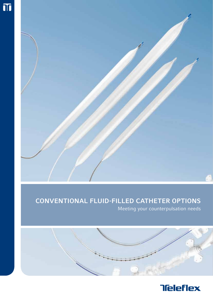

# Conventional Fluid-Filled Catheter Options

Meeting your counterpulsation needs



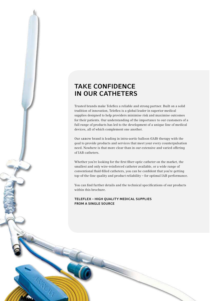## Take confidence in our catheters

Trusted brands make Teleflex a reliable and strong partner. Built on a solid tradition of innovation, Teleflex is a global leader in superior medical supplies designed to help providers minimise risk and maximise outcomes for their patients. Our understanding of the importance to our customers of a full range of products has led to the development of a unique line of medical devices, all of which complement one another.

Our Arrow brand is leading in intra-aortic balloon (IAB) therapy with the goal to provide products and services that meet your every counterpulsation need. Nowhere is that more clear than in our extensive and varied offering of IAB catheters.

Whether you're looking for the first fiber-optic catheter on the market, the smallest and only wire-reinforced catheter available, or a wide range of conventional fluid-filled catheters, you can be confident that you're getting top-of-the-line quality and product reliability – for optimal IAB performance.

You can find further details and the technical specifications of our products within this brochure.

Teleflex – High quality medical supplies from a single source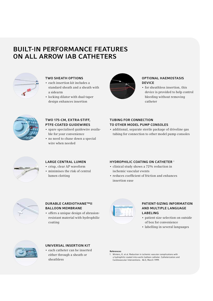## Built-in Performance Features on All ARROW IAB Catheters



#### Two sheath options

- • each insertion kit includes a standard sheath and a sheath with a sidearm
- • locking dilator with dual-taper design enhances insertion



#### Optional hAemostasis **DEVICE**

• for sheathless insertion, this device is provided to help control bleeding without removing catheter



#### Two 175-cm, extra-stiff, PTFE-coated guidewires

- spare specialised quidewire available for your convenience
- no need to chase down a special wire when needed

#### TUBING FOR CONNECTION TO OTHER MODEL PUMP CONSOLES

• additional, separate sterile package of driveline gas tubing for connection to other model pump consoles



## Large central lumen

- • crisp, clear AP waveform
- • minimises the risk of central lumen clotting

## HYDROPHILIC COATING ON CATHETER<sup>1</sup>

- • clinical study shows a 72% reduction in ischemic vascular events
- • reduces coefficient of friction and enhances insertion ease



#### Durable Cardiothane™II balloon membrane

• offers a unique design of abrasionresistant material with hydrophilic coating



#### Patient-sizing information and multiple language labeling

- patient size selection on outside of box for convenience
- labelling in several languages



## Universal insertion kit

• each catheter can be inserted either through a sheath or sheathless

#### References:

1 Winters, K. et al. Reduction in ischemic vascular complications with a hydrophilic-coated intra-aortic balloon catheter. Catheterization and Cardiovascular Interventions. 46:3, March 1999.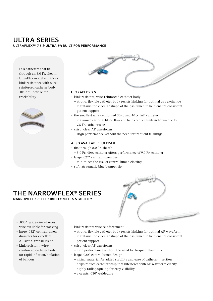# Ultra Series

ULTRAFLEX™ 7.5 & ULTRA 8®: BUILT FOR PERFORMANCE

- IAB catheters that fit through an 8.0 Fr. sheath
- • UltraFlex model enhances kink resistance with wirereinforced catheter body
- • .025" guidewire for trackability





#### UltraFlex 7.5

- • kink-resistant, wire-reinforced catheter body
	- strong, flexible catheter body resists kinking for optimal gas exchange
	- maintains the circular shape of the gas lumen to help ensure consistent patient support
- the smallest wire-reinforced 30cc and 40cc IAB catheter
	- maximizes arterial blood flow and helps reduce limb ischemia due to 7.5 Fr. catheter size
- • crisp, clear AP waveforms
	- High performance without the need for frequent flushings

#### Also available: Ultra 8

- fits through 8.0 Fr. sheath
	- 8.0 Fr. 40cc catheter offers performance of 9.0 Fr. catheter
- • large .027" central lumen design
- minimizes the risk of central lumen clotting
- • soft, atraumatic blue bumper tip

## the NarrowFlex® Series

NARROWFLEX 8: FLEXIBILITY MEETS STABILITY



- • .030" guidewire largest wire available for tracking
- • large .032" central lumen diameter for excellent AP signal transmission
- • kink-resistant, wirereinforced catheter body for rapid inflation/deflation of balloon
- kink-resistant wire reinforcement
	- strong, flexible catheter body resists kinking for optimal AP waveform
	- maintains the circular shape of the gas lumen to help ensure consistent patient support
- • crisp, clear AP waveforms
- high performance without the need for frequent flushings
- • large .032" central lumen design
	- nitinol material for added stability and ease of catheter insertion
	- helps reduce catheter whip that interferes with AP waveform clarity
	- highly radiopaque tip for easy visibility
	- a ccepts .030" guidewire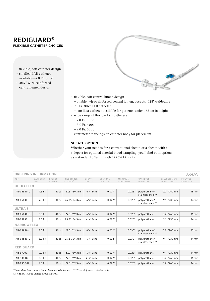## RediGuard® FLEXIBLE CATHETER CHOICES

- flexible, soft catheter design
- smallest IAB catheter available—7.0 Fr. 30cc
- • .027" wire-reinforced central lumen design



- • flexible, soft central lumen design
	- pliable, wire-reinforced central lumen; accepts .025" guidewire
- • 7.0 Fr. 30cc IAB catheter
	- smallest catheter available for patients under 162cm in height
- • wide range of flexible IAB catheters
	- 7.0 Fr. 30cc
	- 8.0 Fr. 40cc
	- 9.0 Fr. 50cc
- • centimeter markings on catheter body for placement

## SHEATH OPTION:

Whether your need is for a conventional sheath or a sheath with a sideport for optional arterial blood sampling, you'll find both options as a standard offering with Arrow IAB kits.

| <b>ORDERING INFORMATION</b><br><b>ARROW</b> |                  |                          |                                   |                  |                       |                      |                                    |                                            |                             |
|---------------------------------------------|------------------|--------------------------|-----------------------------------|------------------|-----------------------|----------------------|------------------------------------|--------------------------------------------|-----------------------------|
| REF.                                        | CATHETER<br>SIZE | <b>BALLOON</b><br>VOLUME | INSERTABLE<br>LENGTH <sup>*</sup> | SHEATH<br>LENGTH | CENTRAL<br>LUMEN I.D. | MAXIMUM<br>GUIDEWIRE | CATHETER<br>MATERIAL               | <b>BALLOON MEM-</b><br><b>BRANE LENGTH</b> | INFLATED<br><b>DIAMETER</b> |
| <b>ULTRAFLEX</b>                            |                  |                          |                                   |                  |                       |                      |                                    |                                            |                             |
| IAB-06840-U                                 | 7.5 Fr.          | 40cc                     | 27.3''/69.3cm                     | $6''/15$ cm      | 0.027"                | 0.025"               | polyurethane/<br>stainless steel** | $10.2$ "/260 mm                            | $15 \,\mathrm{mm}$          |
| IAB-06830-U                                 | 7.5 Fr.          | 30cc                     | 25.3"/64.3cm                      | $6" / 15$ cm     | 0.027"                | 0.025"               | polyurethane/<br>stainless steel** | $9.1" / 230$ mm                            | $14 \,\mathrm{mm}$          |
| <b>ULTRA8</b>                               |                  |                          |                                   |                  |                       |                      |                                    |                                            |                             |
| IAB-05840-U                                 | 8.0 Fr.          | 40cc                     | 27.3"/69.3 cm                     | $6" / 15$ cm     | 0.027"                | 0.025"               | polyurethane                       | $10.2" / 260$ mm                           | $15 \,\mathrm{mm}$          |
| IAB-05830-U                                 | 8.0 Fr.          | 30cc                     | 25.3"/64.3cm                      | 6"/15 cm         | 0.027"                | 0.025"               | polyurethane                       | $9.1" / 230$ mm                            | $14 \,\mathrm{mm}$          |
| <b>NARROWFLEX</b>                           |                  |                          |                                   |                  |                       |                      |                                    |                                            |                             |
| IAB-04840-U                                 | 8.0 Fr.          | 40cc                     | 27.3" / 69.3cm                    | $6" / 15$ cm     | 0.032"                | 0.030"               | polyurethane/<br>stainless steel** | $10.2" / 260$ mm                           | $15 \,\mathrm{mm}$          |
| IAB-04830-U                                 | 8.0 Fr.          | 30cc                     | 25.3"/64.3cm                      | $6" / 15$ cm     | 0.032"                | 0.030"               | polyurethane/<br>stainless steel** | $9.1$ "/230 mm                             | $14 \,\mathrm{mm}$          |
| <b>REDIGUARD</b>                            |                  |                          |                                   |                  |                       |                      |                                    |                                            |                             |
| <b>IAB-S730C</b>                            | 7.0 Fr.          | 30cc                     | 27.3"/69.3 cm                     | $6''/15$ cm      | 0.027"                | 0.025"               | polyurethane                       | $9.1" / 230$ mm                            | $14 \,\mathrm{mm}$          |
| <b>IAB-S840C</b>                            | 8.0 Fr.          | 40cc                     | 27.3"/69.3 cm                     | $6" / 15$ cm     | 0.027"                | 0.025"               | polyurethane                       | 10.2"/260mm                                | $15 \,\mathrm{mm}$          |
| IAB-R950-U                                  | 9.0 Fr.          | 50cc                     | 27.3"/69.3 cm                     | $6" / 15$ cm     | 0.027"                | 0.025"               | polyurethane                       | $10.2$ "/260 mm                            | $16$ mm                     |

*\*Sheathless insertions without haemostasis device \*\*Wire-reinforced catheter body All* Arrow *IAB-catheters are latex-free.*